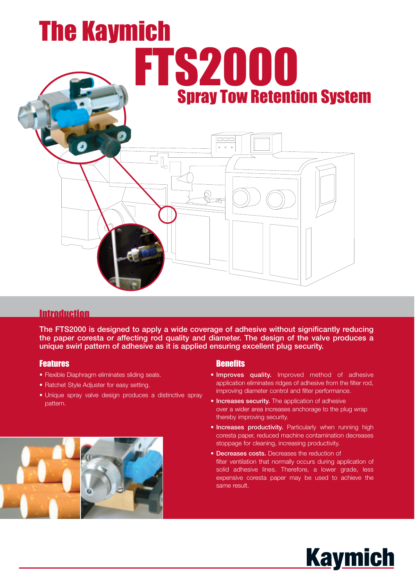# The Kaymich FTS2000 Spray Tow Retention System  $\Box \Box \Box$  $0$  0 0  $\overline{\overline{\mathbb{B}}\mathbb{C}}$

# **Introduction**

**The FTS2000 is designed to apply a wide coverage of adhesive without significantly reducing the paper coresta or affecting rod quality and diameter. The design of the valve produces a unique swirl pattern of adhesive as it is applied ensuring excellent plug security.**

## Features

- Flexible Diaphragm eliminates sliding seals.
- Ratchet Style Adjuster for easy setting.
- Unique spray valve design produces a distinctive spray pattern.



## **Benefits**

- **Improves quality.** Improved method of adhesive application eliminates ridges of adhesive from the filter rod, improving diameter control and filter performance.
- **Increases security.** The application of adhesive over a wider area increases anchorage to the plug wrap thereby improving security.
- **Increases productivity.** Particularly when running high coresta paper, reduced machine contamination decreases stoppage for cleaning, increasing productivity.
- **Decreases costs.** Decreases the reduction of filter ventilation that normally occurs during application of solid adhesive lines. Therefore, a lower grade, less expensive coresta paper may be used to achieve the same result.